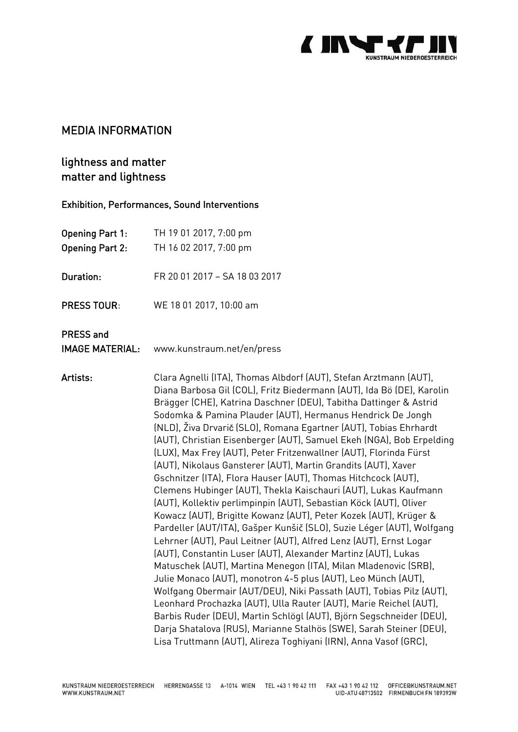

## MEDIA INFORMATION

# lightness and matter matter and lightness

### Exhibition, Performances, Sound Interventions

| TH 19 01 2017, 7:00 pm<br>TH 16 02 2017, 7:00 pm |
|--------------------------------------------------|
| FR 20 01 2017 - SA 18 03 2017                    |
| WE 18 01 2017, 10:00 am                          |
|                                                  |

PRESS and

IMAGE MATERIAL: [www.kunstraum.net/](http://www.kunstraum.net/)en/press

Artists: Clara Agnelli (ITA), Thomas Albdorf (AUT), Stefan Arztmann (AUT), Diana Barbosa Gil (COL), Fritz Biedermann (AUT), Ida Bö (DE), Karolin Brägger (CHE), Katrina Daschner (DEU), Tabitha Dattinger & Astrid Sodomka & Pamina Plauder (AUT), Hermanus Hendrick De Jongh (NLD), Živa Drvarič (SLO), Romana Egartner (AUT), Tobias Ehrhardt (AUT), Christian Eisenberger (AUT), Samuel Ekeh (NGA), Bob Erpelding (LUX), Max Frey (AUT), Peter Fritzenwallner (AUT), Florinda Fürst (AUT), Nikolaus Gansterer (AUT), Martin Grandits (AUT), Xaver Gschnitzer (ITA), Flora Hauser (AUT), Thomas Hitchcock (AUT), Clemens Hubinger (AUT), Thekla Kaischauri (AUT), Lukas Kaufmann (AUT), Kollektiv perlimpinpin (AUT), Sebastian Köck (AUT), Oliver Kowacz (AUT), Brigitte Kowanz (AUT), Peter Kozek (AUT), Krüger & Pardeller (AUT/ITA), Gašper Kunšič (SLO), Suzie Léger (AUT), Wolfgang Lehrner (AUT), Paul Leitner (AUT), Alfred Lenz (AUT), Ernst Logar (AUT), Constantin Luser (AUT), Alexander Martinz (AUT), Lukas Matuschek (AUT), Martina Menegon (ITA), Milan Mladenovic (SRB), Julie Monaco (AUT), monotron 4-5 plus (AUT), Leo Münch (AUT), Wolfgang Obermair (AUT/DEU), Niki Passath (AUT), Tobias Pilz (AUT), Leonhard Prochazka (AUT), Ulla Rauter (AUT), Marie Reichel (AUT), Barbis Ruder (DEU), Martin Schlögl (AUT), Björn Segschneider (DEU), Darja Shatalova (RUS), Marianne Stalhös (SWE), Sarah Steiner (DEU), Lisa Truttmann (AUT), Alireza Toghiyani (IRN), Anna Vasof (GRC),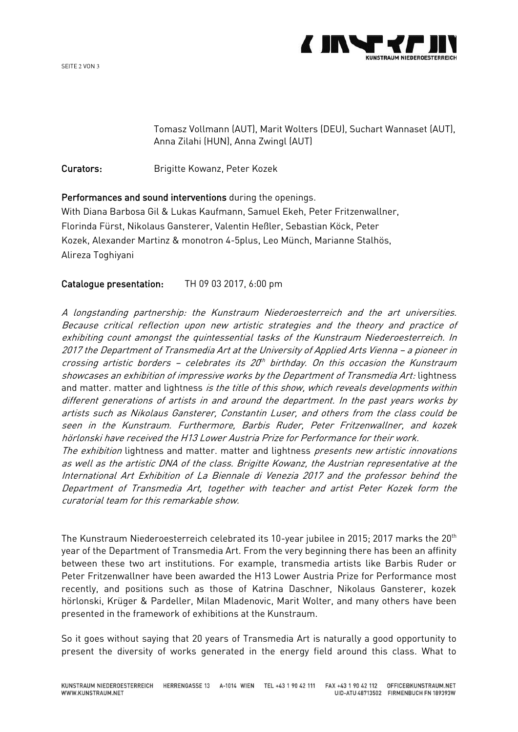



Tomasz Vollmann (AUT), Marit Wolters (DEU), Suchart Wannaset (AUT), Anna Zilahi (HUN), Anna Zwingl (AUT)

Curators: Brigitte Kowanz, Peter Kozek

Performances and sound interventions during the openings.

With Diana Barbosa Gil & Lukas Kaufmann, Samuel Ekeh, Peter Fritzenwallner, Florinda Fürst, Nikolaus Gansterer, Valentin Heßler, Sebastian Köck, Peter Kozek, Alexander Martinz & monotron 4-5plus, Leo Münch, Marianne Stalhös, Alireza Toghiyani

Catalogue presentation: TH 09 03 2017, 6:00 pm

A longstanding partnership: the Kunstraum Niederoesterreich and the art universities. Because critical reflection upon new artistic strategies and the theory and practice of exhibiting count amongst the quintessential tasks of the Kunstraum Niederoesterreich. In 2017 the Department of Transmedia Art at the University of Applied Arts Vienna – a pioneer in crossing artistic borders – celebrates its 20th birthday. On this occasion the Kunstraum showcases an exhibition of impressive works by the Department of Transmedia Art: lightness and matter. matter and lightness is the title of this show, which reveals developments within different generations of artists in and around the department. In the past years works by artists such as Nikolaus Gansterer, Constantin Luser, and others from the class could be seen in the Kunstraum. Furthermore, Barbis Ruder, Peter Fritzenwallner, and kozek hörlonski have received the H13 Lower Austria Prize for Performance for their work.

The exhibition lightness and matter. matter and lightness presents new artistic innovations as well as the artistic DNA of the class. Brigitte Kowanz, the Austrian representative at the International Art Exhibition of La Biennale di Venezia 2017 and the professor behind the Department of Transmedia Art, together with teacher and artist Peter Kozek form the curatorial team for this remarkable show.

The Kunstraum Niederoesterreich celebrated its 10-year jubilee in 2015; 2017 marks the 20<sup>th</sup> year of the Department of Transmedia Art. From the very beginning there has been an affinity between these two art institutions. For example, transmedia artists like Barbis Ruder or Peter Fritzenwallner have been awarded the H13 Lower Austria Prize for Performance most recently, and positions such as those of Katrina Daschner, Nikolaus Gansterer, kozek hörlonski, Krüger & Pardeller, Milan Mladenovic, Marit Wolter, and many others have been presented in the framework of exhibitions at the Kunstraum.

So it goes without saying that 20 years of Transmedia Art is naturally a good opportunity to present the diversity of works generated in the energy field around this class. What to